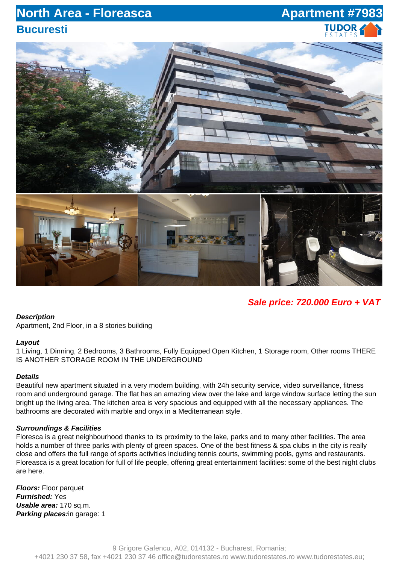## **North Area - Floreasca Apartment #7983 Bucuresti**

# TUDOR



### **Sale price: 720.000 Euro + VAT**

#### **Description**

Apartment, 2nd Floor, in a 8 stories building

#### **Layout**

1 Living, 1 Dinning, 2 Bedrooms, 3 Bathrooms, Fully Equipped Open Kitchen, 1 Storage room, Other rooms THERE IS ANOTHER STORAGE ROOM IN THE UNDERGROUND

#### **Details**

Beautiful new apartment situated in a very modern building, with 24h security service, video surveillance, fitness room and underground garage. The flat has an amazing view over the lake and large window surface letting the sun bright up the living area. The kitchen area is very spacious and equipped with all the necessary appliances. The bathrooms are decorated with marble and onyx in a Mediterranean style.

#### **Surroundings & Facilities**

Floresca is a great neighbourhood thanks to its proximity to the lake, parks and to many other facilities. The area holds a number of three parks with plenty of green spaces. One of the best fitness & spa clubs in the city is really close and offers the full range of sports activities including tennis courts, swimming pools, gyms and restaurants. Floreasca is a great location for full of life people, offering great entertainment facilities: some of the best night clubs are here.

**Floors:** Floor parquet **Furnished:** Yes **Usable area:** 170 sq.m. **Parking places:**in garage: 1